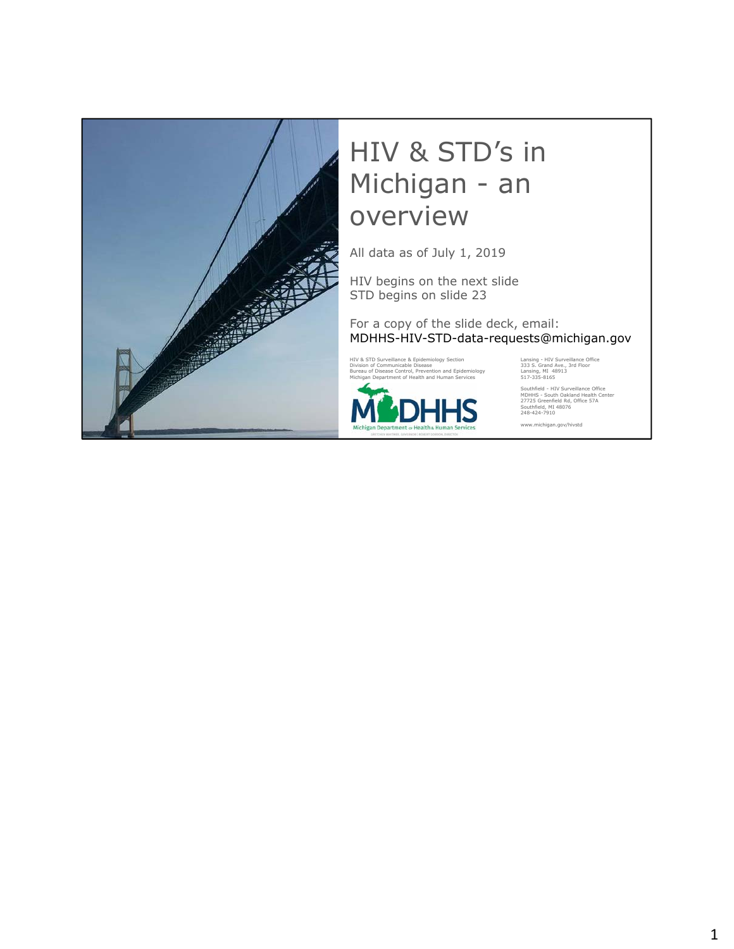

### HIV & STD's in Michigan - an overview

All data as of July 1, 2019

HIV begins on the next slide STD begins on slide 23

For a copy of the slide deck, email: MDHHS-HIV-STD-data-requests@michigan.gov

HIV & STD Surveillance & Epidemiology Section Lansing - HIV Surveillance Office<br>
Division of Communicable Disease Control, Prevention and Epidemiology 1398 S. Grand Ave., 3rd Floor<br>
Bureau of Disease Control, Prevention an Division of Communicable Disease 333 S. Grand Ave., 3rd Floor Bureau of Disease Control, Prevention and Epidemiology Lansing, MI 48913 Michigan Department of Health and Human Services 517-335-8165



Southfield - HIV Surveillance Office MDHHS - South Oakland Health Center 27725 Greenfield Rd, Office 57A Southfield, MI 48076 248-424-7910

www.michigan.gov/hivstd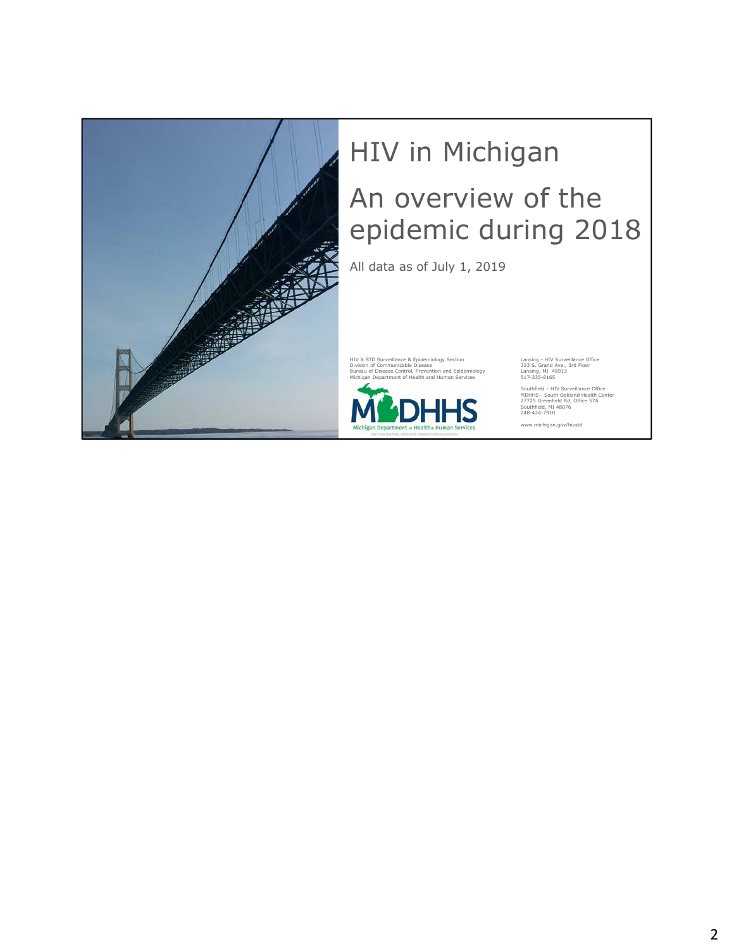

# HIV in Michigan An overview of the epidemic during 2018

All data as of July 1, 2019

HIV & STD Surveillance & Epidemiology Section [18] Lansing - HIV Surveillance Office<br>
Division of Communicable Disease<br>
Bureau of Disease Control, Prevention and Epidemiology [18] Lansing, MI 48913<br>
Michigan Department of Division of Communicable Disease 333 S. Grand Ave., 3rd Floor Bureau of Disease Control, Prevention and Epidemiology Lansing, MI 48913 Michigan Department of Health and Human Services 517-335-8165



Southfield - HIV Surveillance Office MDHHS - South Oakland Health Center 27725 Greenfield Rd, Office 57A Southfield, MI 48076 248-424-7910

www.michigan.gov/hivstd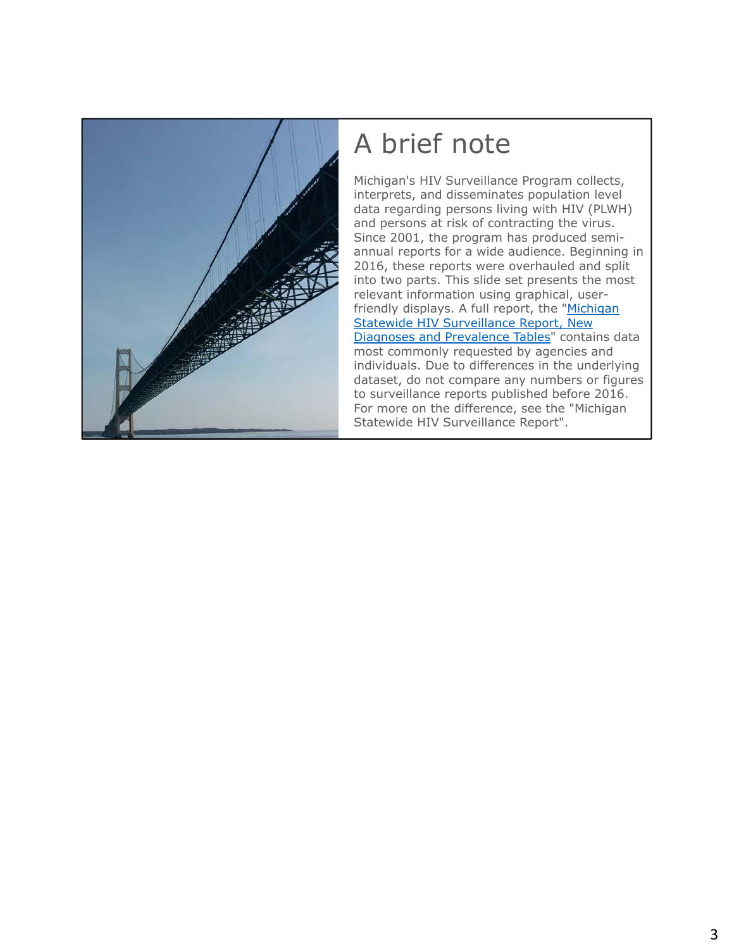

### A brief note

Michigan's HIV Surveillance Program collects, interprets, and disseminates population level data regarding persons living with HIV (PLWH) and persons at risk of contracting the virus. Since 2001, the program has produced semiannual reports for a wide audience. Beginning in 2016, these reports were overhauled and split into two parts. This slide set presents the most relevant information using graphical, userfriendly displays. A full report, the "Michigan **Statewide HIV Surveillance Report, New** [Diagnoses and Prevalence Tables" contains d](https://www.michigan.gov/mdhhs/0,5885,7-339-71550_2955_2982_46000_46003-35962--,00.html#current)ata most commonly requested by agencies and individuals. Due to differences in the underlying dataset, do not compare any numbers or figures to surveillance reports published before 2016. For more on the difference, see the "Michigan Statewide HIV Surveillance Report".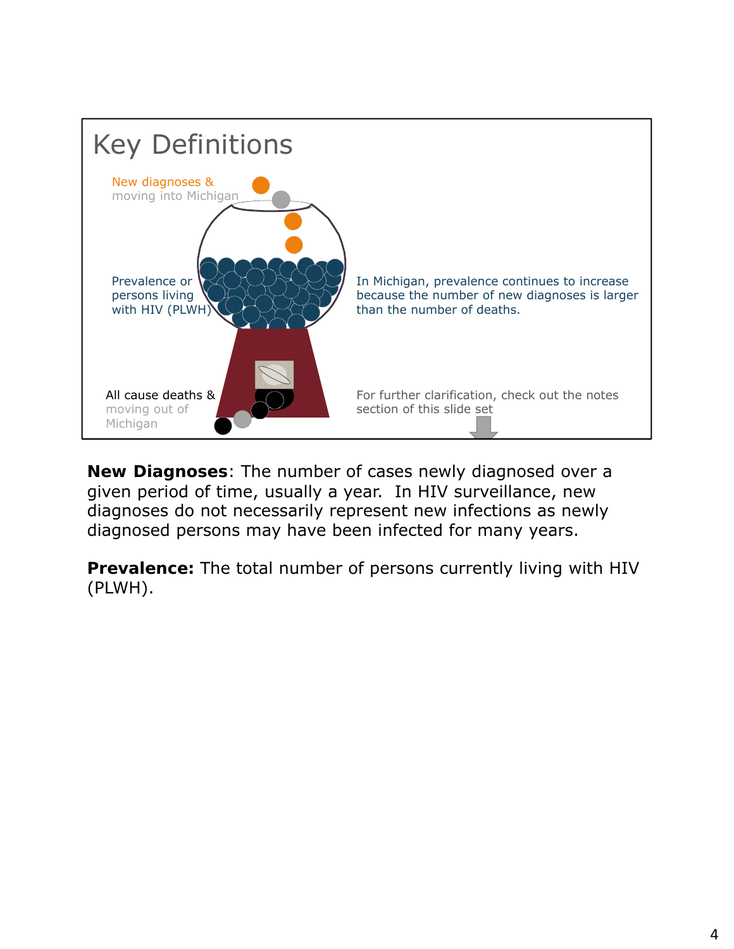

**New Diagnoses**: The number of cases newly diagnosed over a given period of time, usually a year. In HIV surveillance, new diagnoses do not necessarily represent new infections as newly diagnosed persons may have been infected for many years.

**Prevalence:** The total number of persons currently living with HIV (PLWH).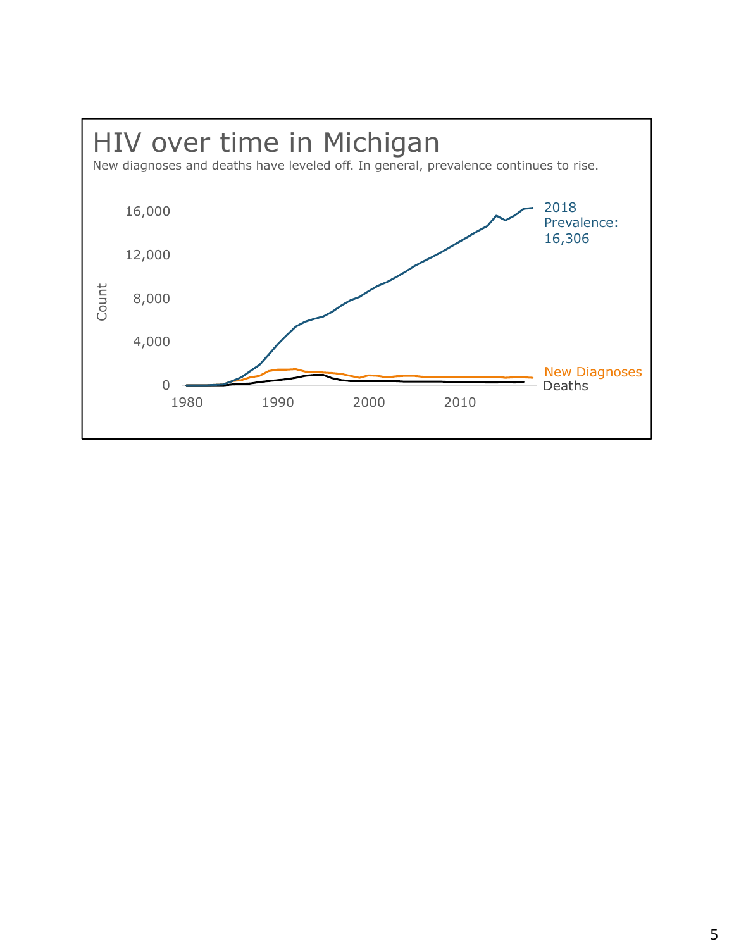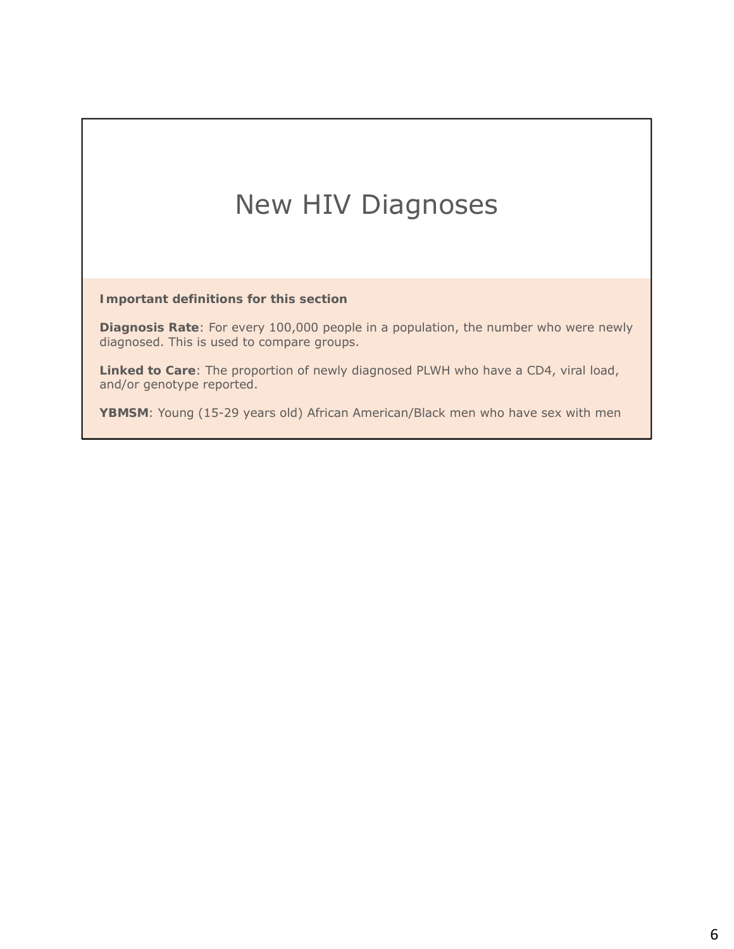### New HIV Diagnoses

**Important definitions for this section**

**Diagnosis Rate**: For every 100,000 people in a population, the number who were newly diagnosed. This is used to compare groups.

**Linked to Care**: The proportion of newly diagnosed PLWH who have a CD4, viral load, and/or genotype reported.

**YBMSM**: Young (15-29 years old) African American/Black men who have sex with men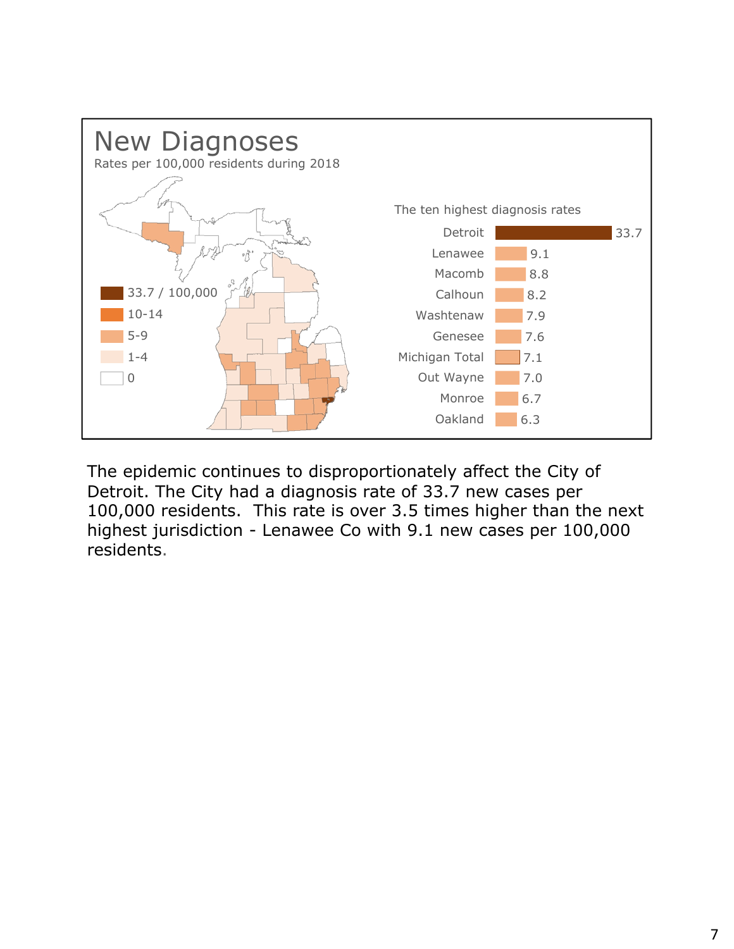

The epidemic continues to disproportionately affect the City of Detroit. The City had a diagnosis rate of 33.7 new cases per 100,000 residents. This rate is over 3.5 times higher than the next highest jurisdiction - Lenawee Co with 9.1 new cases per 100,000 residents.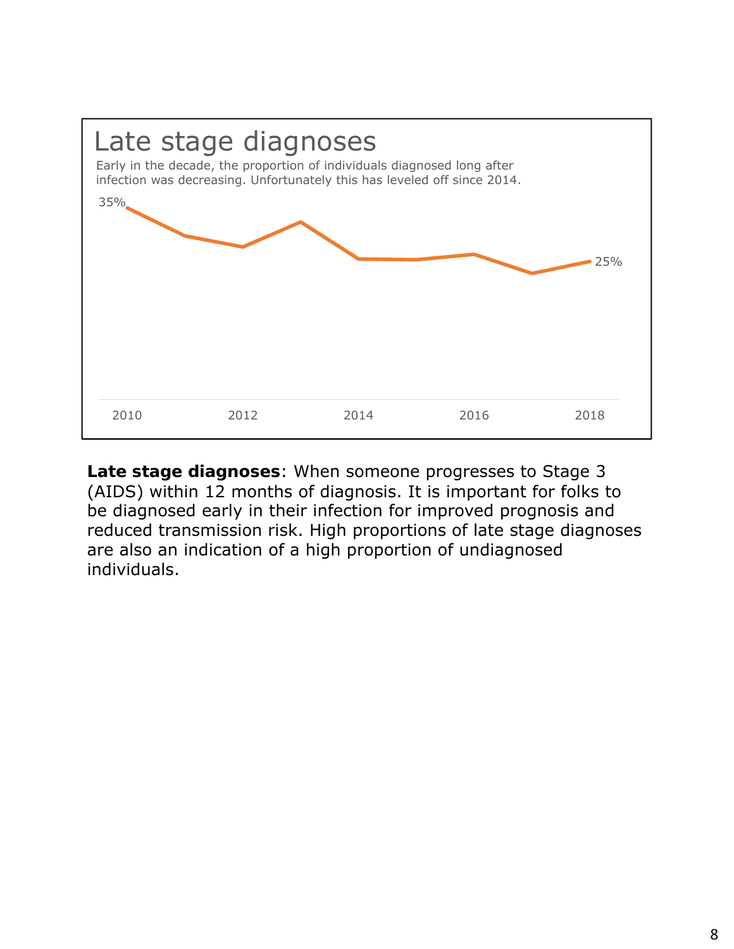

**Late stage diagnoses**: When someone progresses to Stage 3 (AIDS) within 12 months of diagnosis. It is important for folks to be diagnosed early in their infection for improved prognosis and reduced transmission risk. High proportions of late stage diagnoses are also an indication of a high proportion of undiagnosed individuals.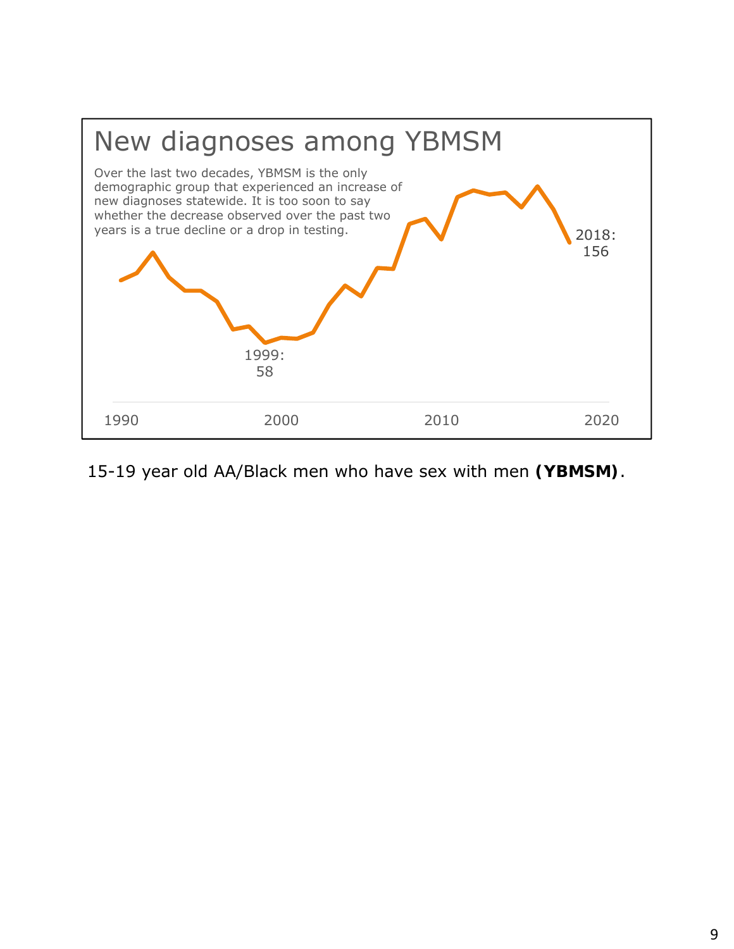

#### 15-19 year old AA/Black men who have sex with men **(YBMSM)**.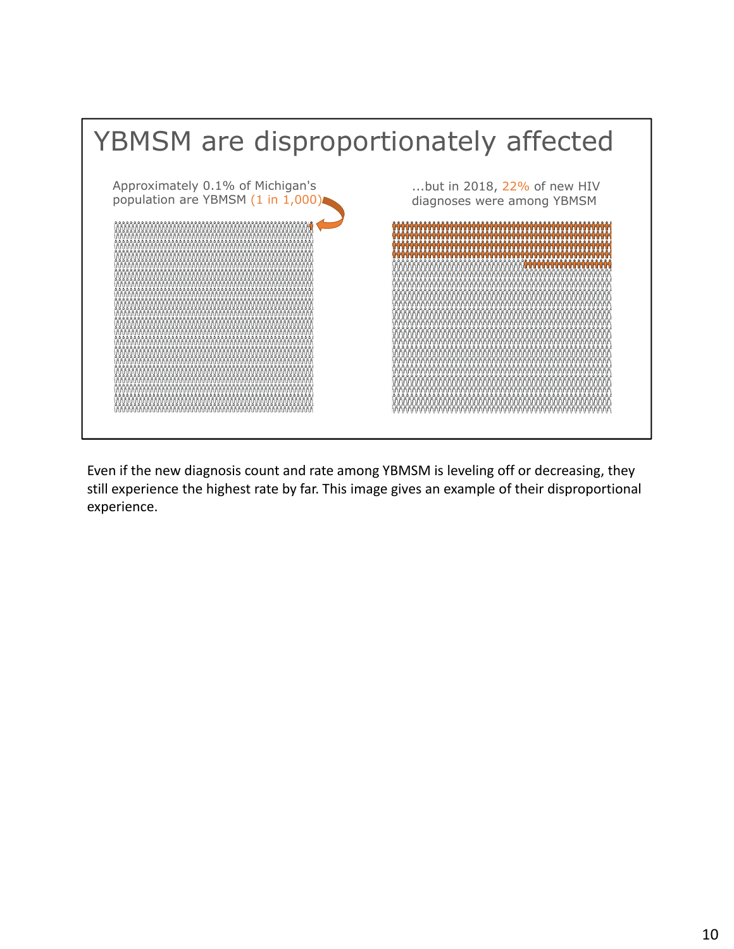

Even if the new diagnosis count and rate among YBMSM is leveling off or decreasing, they still experience the highest rate by far. This image gives an example of their disproportional experience.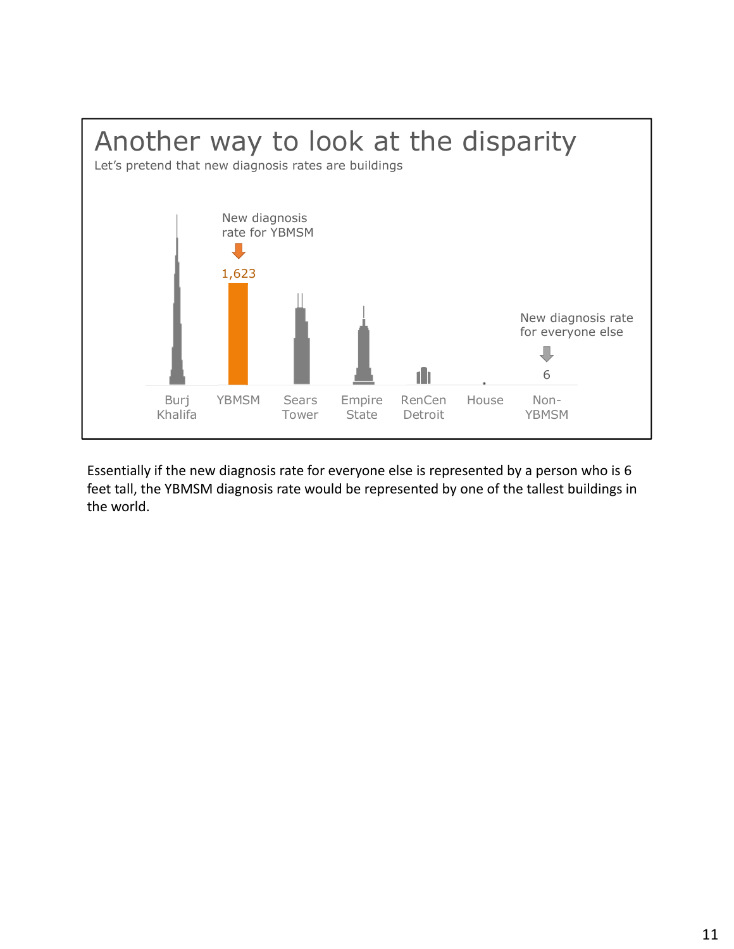

Essentially if the new diagnosis rate for everyone else is represented by a person who is 6 feet tall, the YBMSM diagnosis rate would be represented by one of the tallest buildings in the world.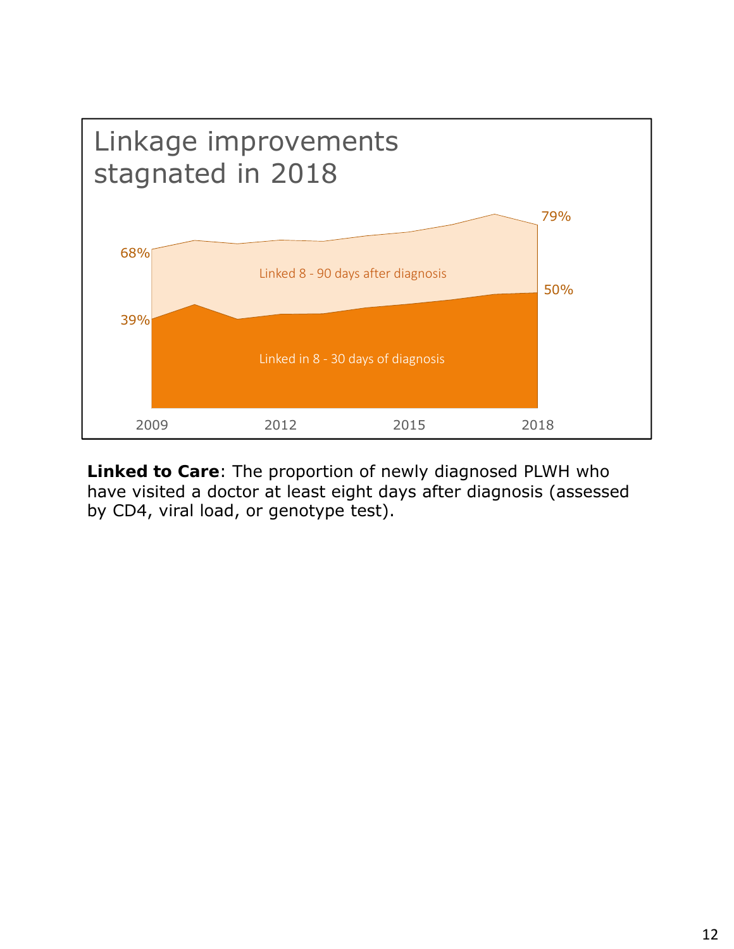

**Linked to Care**: The proportion of newly diagnosed PLWH who have visited a doctor at least eight days after diagnosis (assessed by CD4, viral load, or genotype test).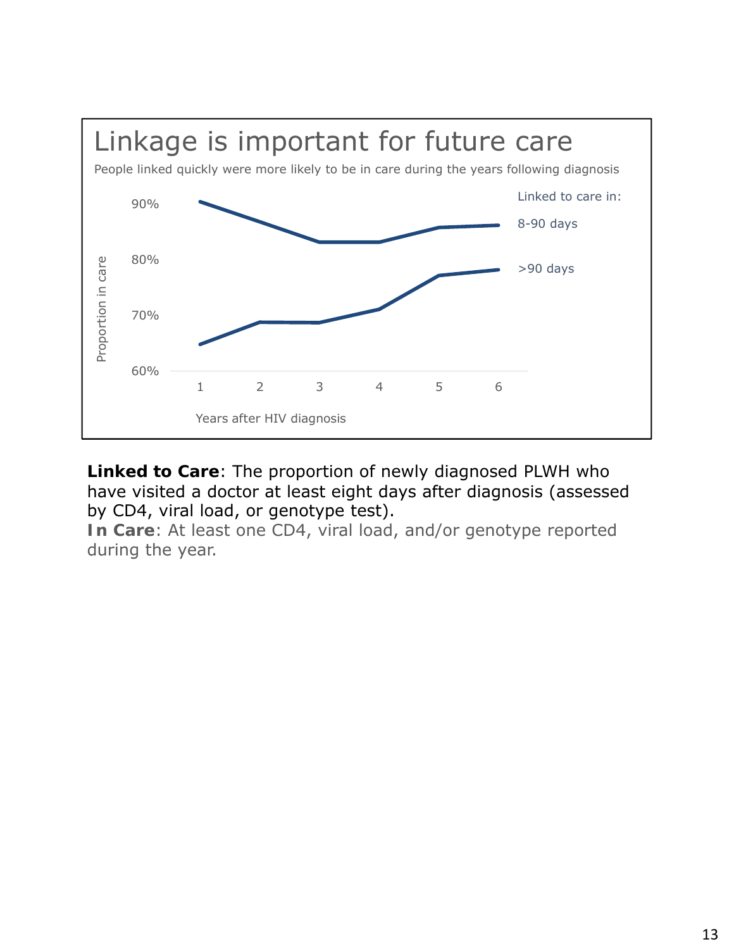

**Linked to Care**: The proportion of newly diagnosed PLWH who have visited a doctor at least eight days after diagnosis (assessed by CD4, viral load, or genotype test).

**In Care**: At least one CD4, viral load, and/or genotype reported during the year.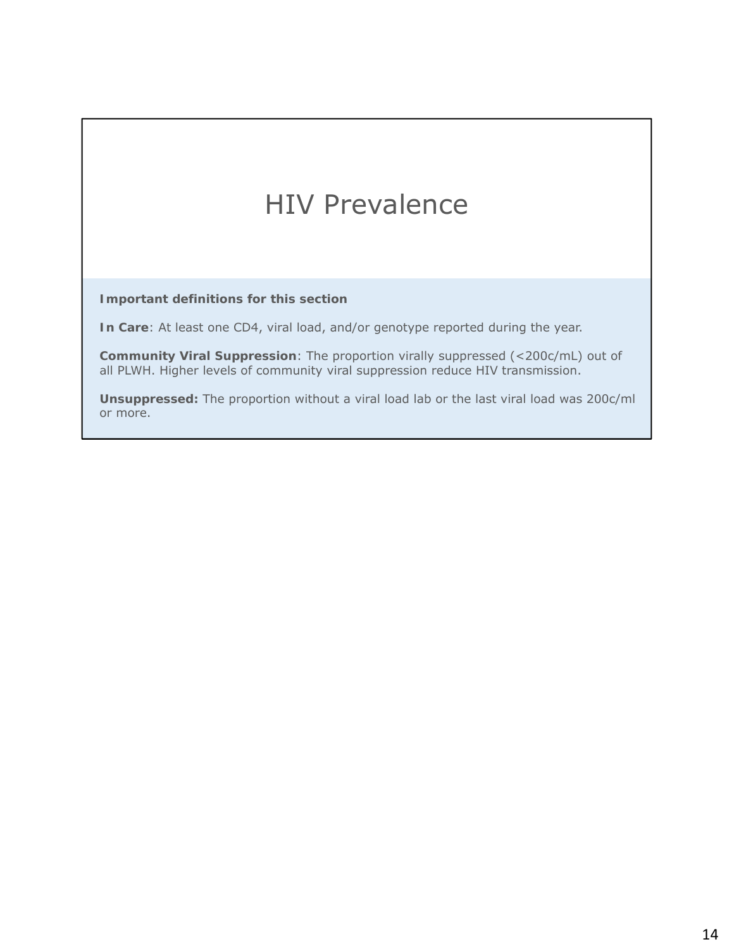### HIV Prevalence

**Important definitions for this section**

**In Care**: At least one CD4, viral load, and/or genotype reported during the year.

**Community Viral Suppression**: The proportion virally suppressed (<200c/mL) out of *all* PLWH. Higher levels of community viral suppression reduce HIV transmission.

**Unsuppressed:** The proportion without a viral load lab or the last viral load was 200c/ml or more.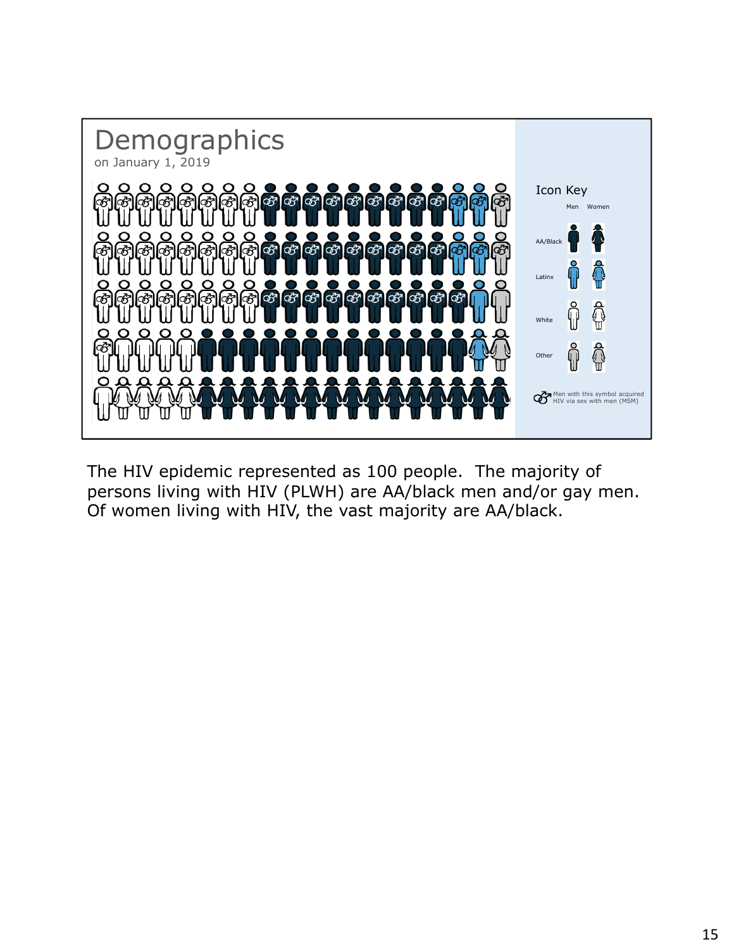

The HIV epidemic represented as 100 people. The majority of persons living with HIV (PLWH) are AA/black men and/or gay men. Of women living with HIV, the vast majority are AA/black.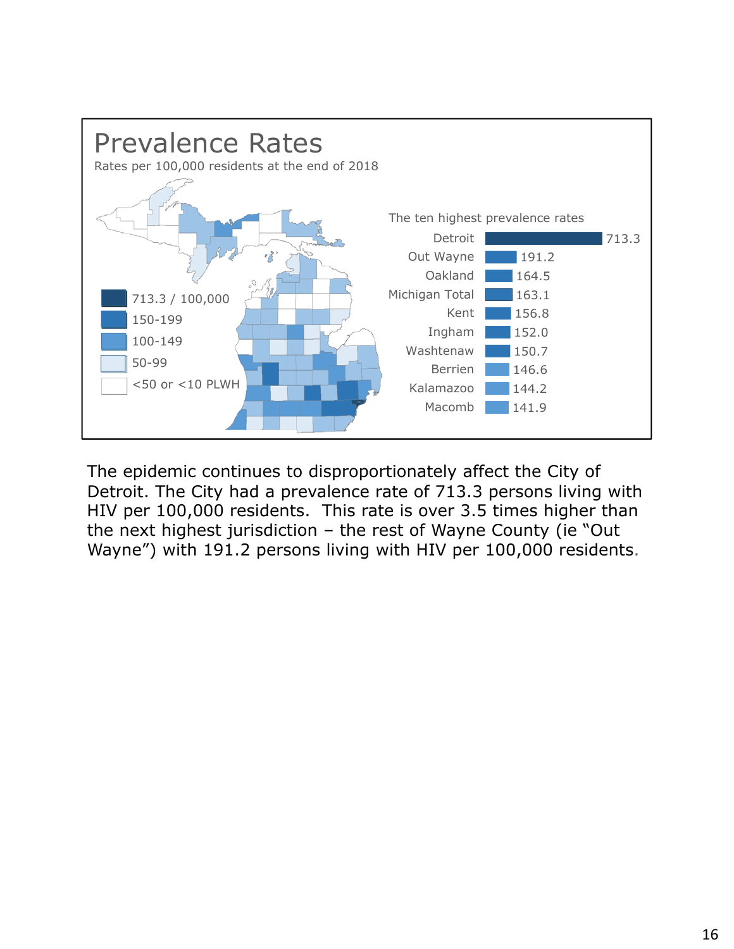

The epidemic continues to disproportionately affect the City of Detroit. The City had a prevalence rate of 713.3 persons living with HIV per 100,000 residents. This rate is over 3.5 times higher than the next highest jurisdiction – the rest of Wayne County (ie "Out Wayne") with 191.2 persons living with HIV per 100,000 residents.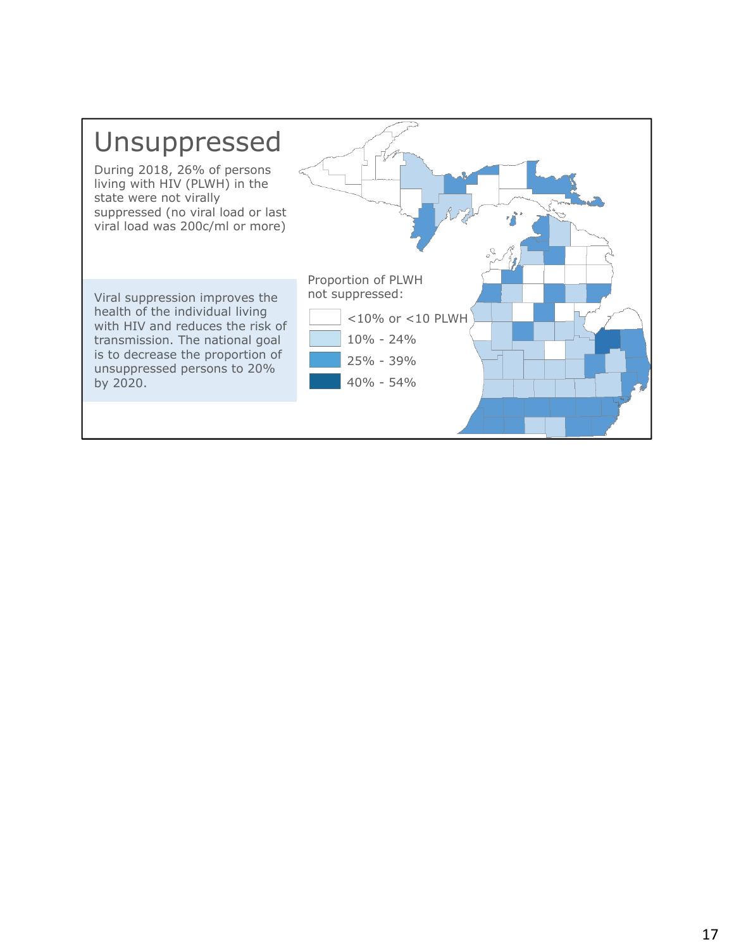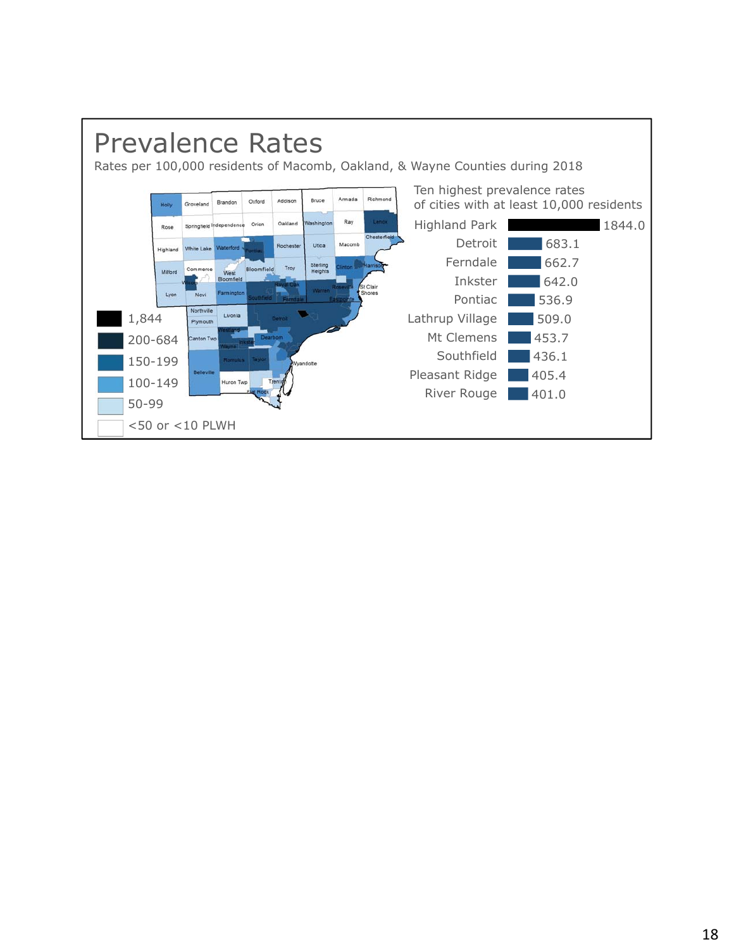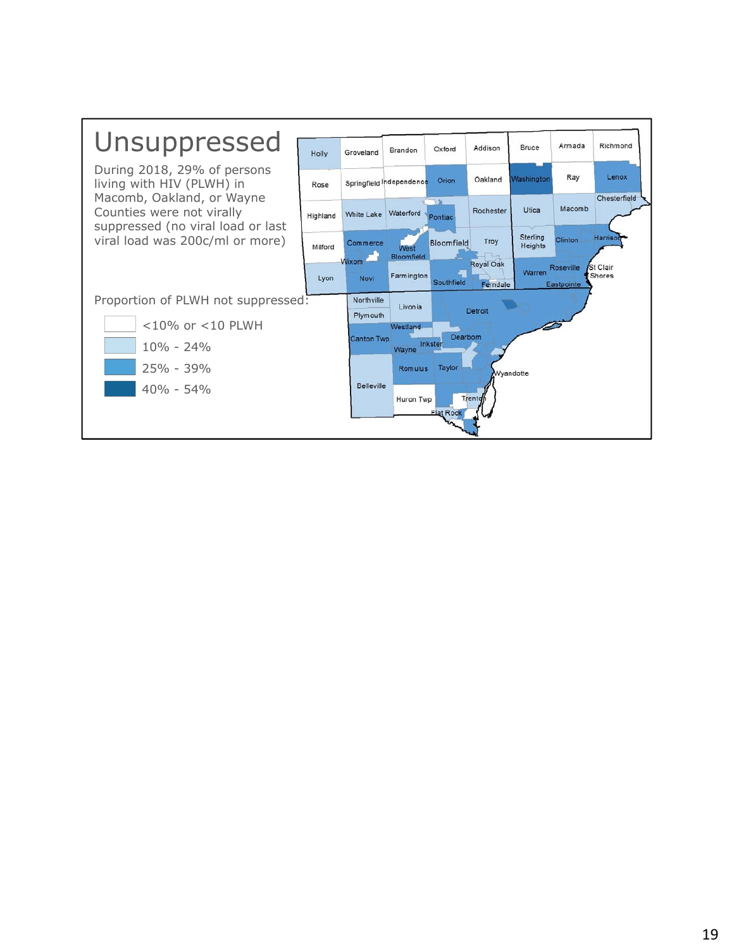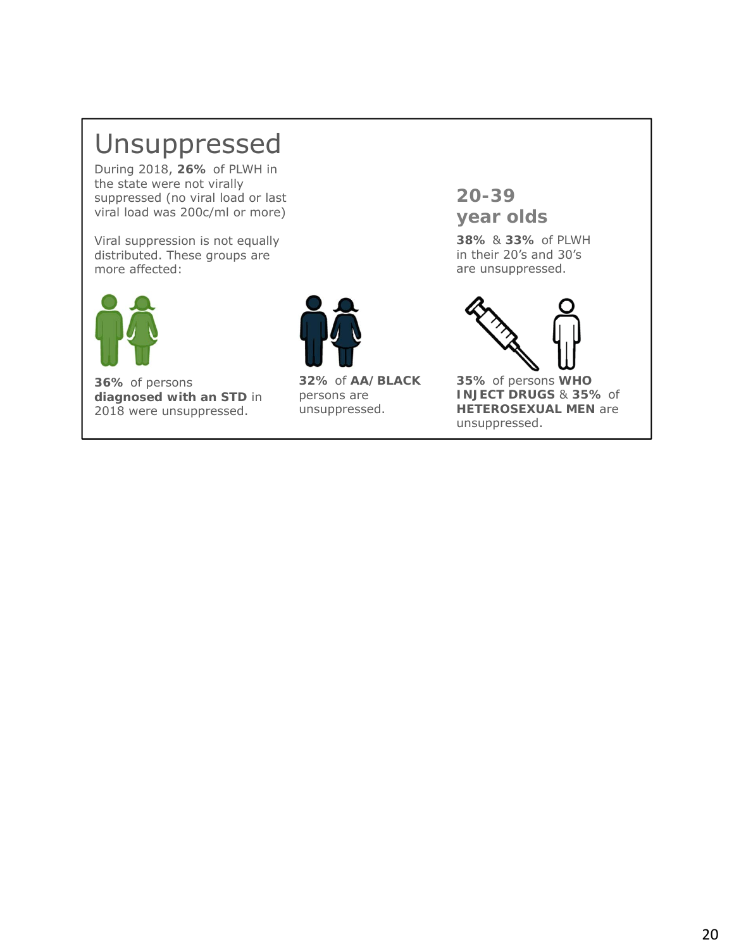### Unsuppressed

During 2018, **26%** of PLWH in the state were not virally suppressed (no viral load or last viral load was 200c/ml or more)

Viral suppression is not equally distributed. These groups are more affected:



**36%** of persons **diagnosed with an STD** in 2018 were unsuppressed.



**32%** of **AA/BLACK**  persons are unsuppressed.

**20-39 year olds**

**38%** & **33%** of PLWH in their 20's and 30's are unsuppressed.



**35%** of persons **WHO INJECT DRUGS** & **35%** of **HETEROSEXUAL MEN** are unsuppressed.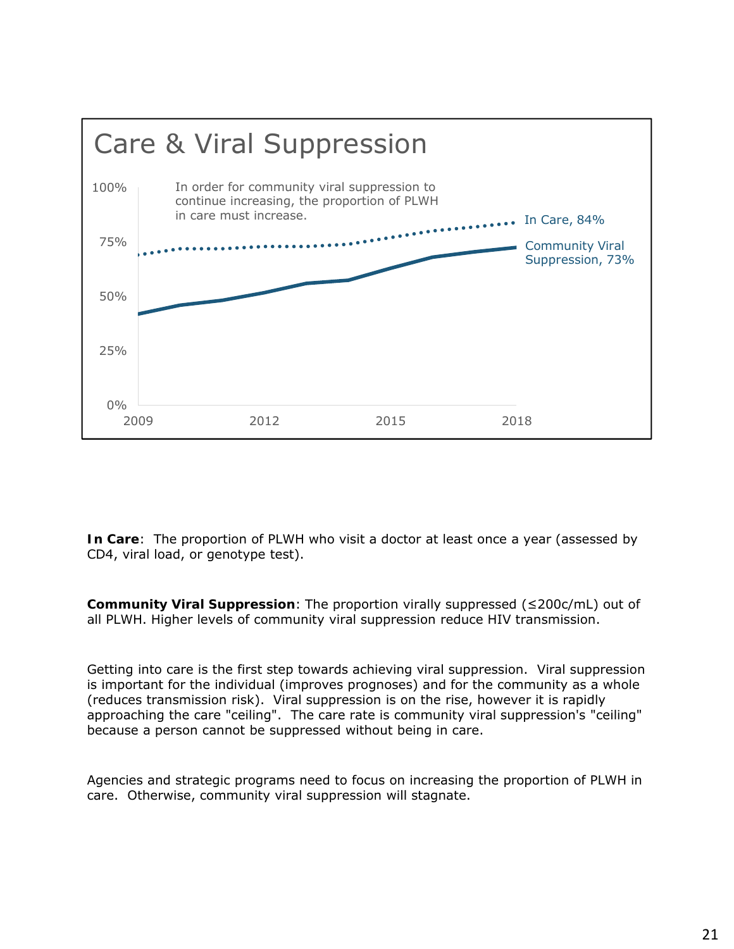

**In Care**: The proportion of PLWH who visit a doctor at least once a year (assessed by CD4, viral load, or genotype test).

**Community Viral Suppression**: The proportion virally suppressed (≤200c/mL) out of *all* PLWH. Higher levels of community viral suppression reduce HIV transmission.

Getting into care is the first step towards achieving viral suppression. Viral suppression is important for the individual (improves prognoses) and for the community as a whole (reduces transmission risk). Viral suppression is on the rise, however it is rapidly approaching the care "ceiling". The care rate is community viral suppression's "ceiling" because a person cannot be suppressed without being in care.

Agencies and strategic programs need to focus on increasing the proportion of PLWH in care. Otherwise, community viral suppression will stagnate.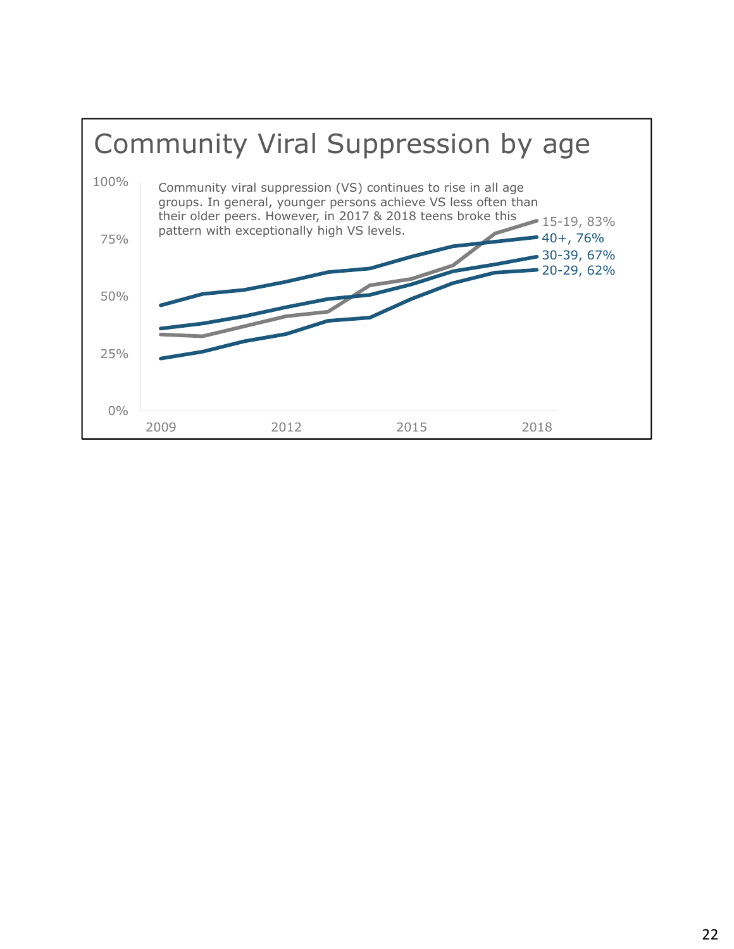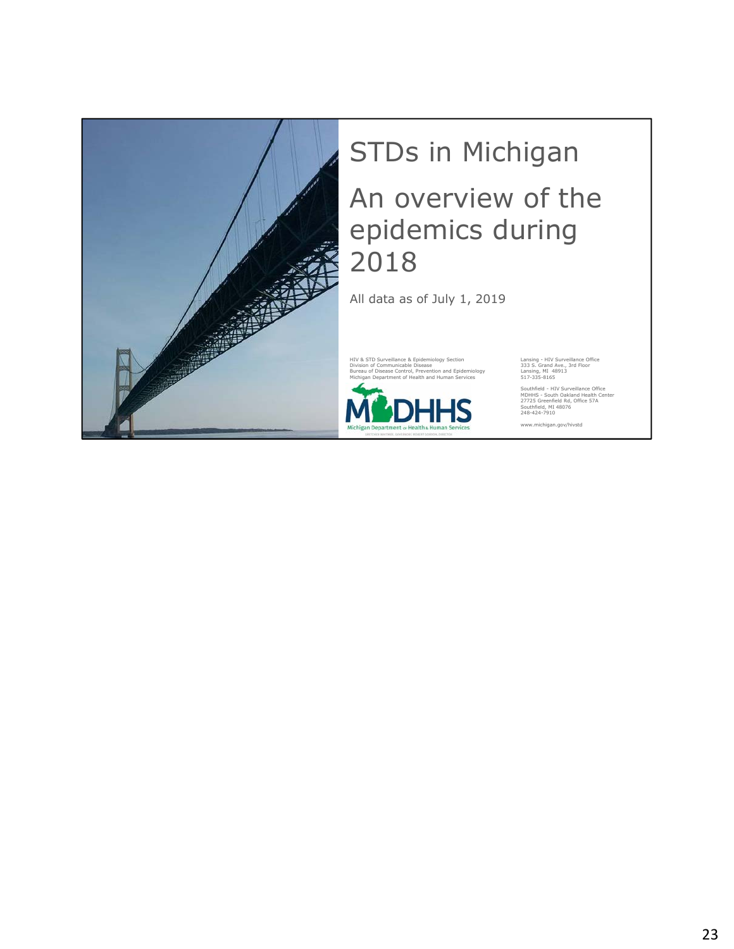

## STDs in Michigan An overview of the epidemics during 2018

All data as of July 1, 2019

HIV & STD Surveillance & Epidemiology Section [18] Lansing - HIV Surveillance Office<br>
Division of Communicable Disease<br>
Bureau of Disease Control, Prevention and Epidemiology [18] Lansing, MI 48913<br>
Michigan Department of Division of Communicable Disease 333 S. Grand Ave., 3rd Floor Bureau of Disease Control, Prevention and Epidemiology Lansing, MI 48913 Michigan Department of Health and Human Services 517-335-8165



Southfield - HIV Surveillance Office MDHHS - South Oakland Health Center 27725 Greenfield Rd, Office 57A Southfield, MI 48076 248-424-7910

www.michigan.gov/hivstd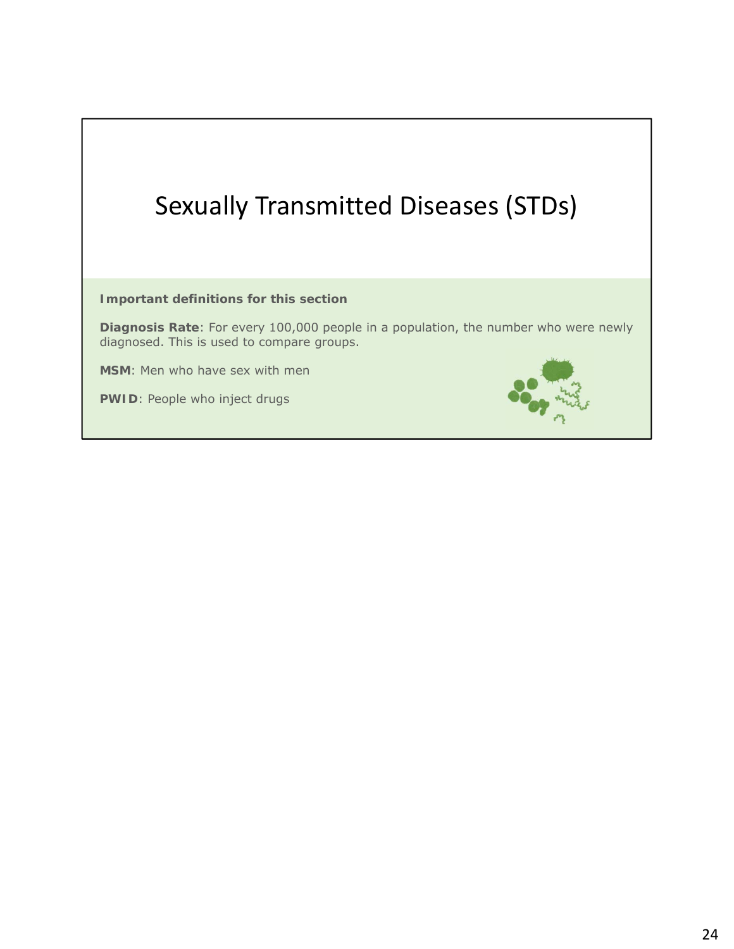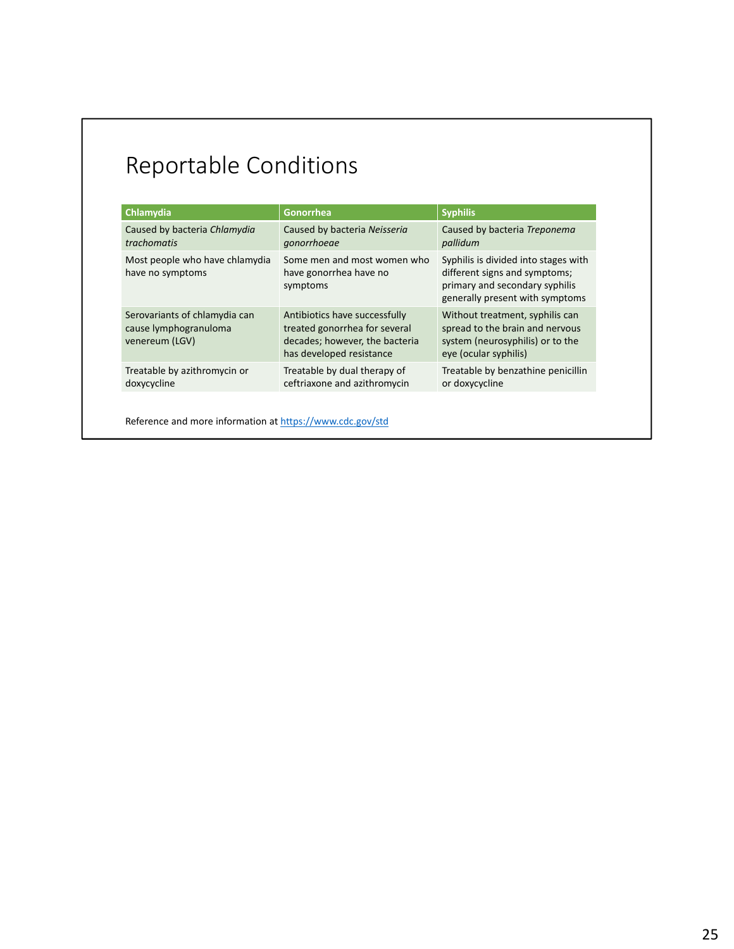### Reportable Conditions

| Chlamydia                                                                | Gonorrhea                                                                                                                    | <b>Syphilis</b>                                                                                                                            |
|--------------------------------------------------------------------------|------------------------------------------------------------------------------------------------------------------------------|--------------------------------------------------------------------------------------------------------------------------------------------|
| Caused by bacteria Chlamydia<br><i>trachomatis</i>                       | Caused by bacteria Neisseria<br>gonorrhoeae                                                                                  | Caused by bacteria Treponema<br>pallidum                                                                                                   |
| Most people who have chlamydia<br>have no symptoms                       | Some men and most women who<br>have gonorrhea have no<br>symptoms                                                            | Syphilis is divided into stages with<br>different signs and symptoms;<br>primary and secondary syphilis<br>generally present with symptoms |
| Serovariants of chlamydia can<br>cause lymphogranuloma<br>venereum (LGV) | Antibiotics have successfully<br>treated gonorrhea for several<br>decades; however, the bacteria<br>has developed resistance | Without treatment, syphilis can<br>spread to the brain and nervous<br>system (neurosyphilis) or to the<br>eye (ocular syphilis)            |
| Treatable by azithromycin or<br>doxycycline                              | Treatable by dual therapy of<br>ceftriaxone and azithromycin                                                                 | Treatable by benzathine penicillin<br>or doxycycline                                                                                       |

Reference and more information at https://www.cdc.gov/std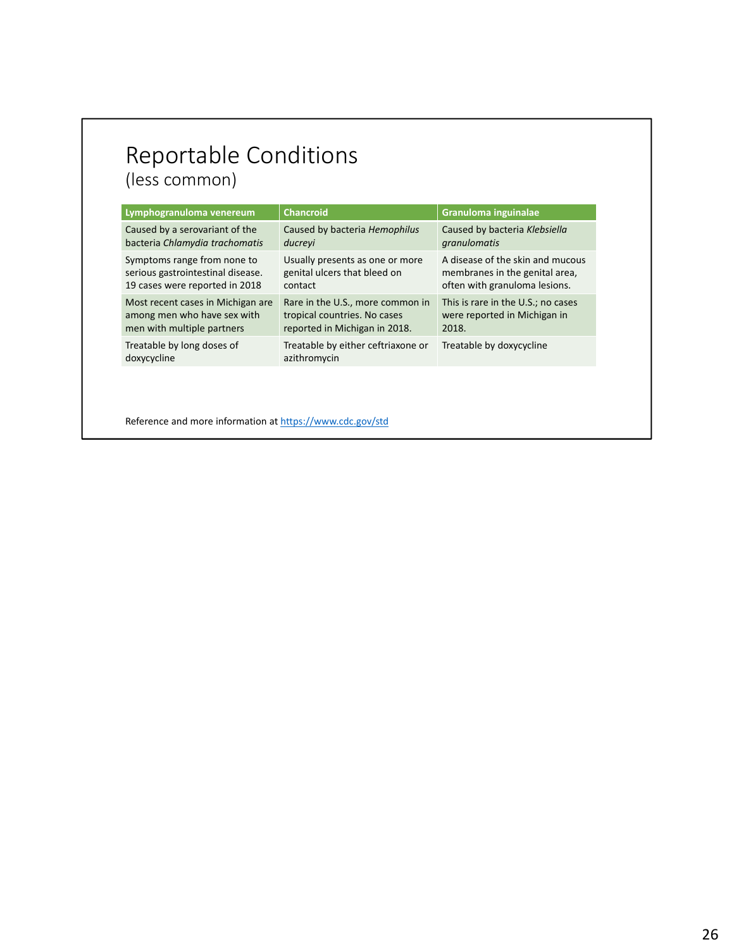### Reportable Conditions (less common)

Lymphogranuloma venereum **Chancroid** Chancroid **Granuloma inguinalae** Caused by a serovariant of the bacteria *Chlamydia trachomatis* Caused by bacteria *Hemophilus ducreyi* Caused by bacteria *Klebsiella granulomatis* Symptoms range from none to serious gastrointestinal disease. 19 cases were reported in 2018 Usually presents as one or more genital ulcers that bleed on contact A disease of the skin and mucous membranes in the genital area, often with granuloma lesions. Most recent cases in Michigan are among men who have sex with men with multiple partners Rare in the U.S., more common in tropical countries. No cases reported in Michigan in 2018. This is rare in the U.S.; no cases were reported in Michigan in 2018. Treatable by long doses of doxycycline Treatable by either ceftriaxone or azithromycin Treatable by doxycycline

Reference and more information at https://www.cdc.gov/std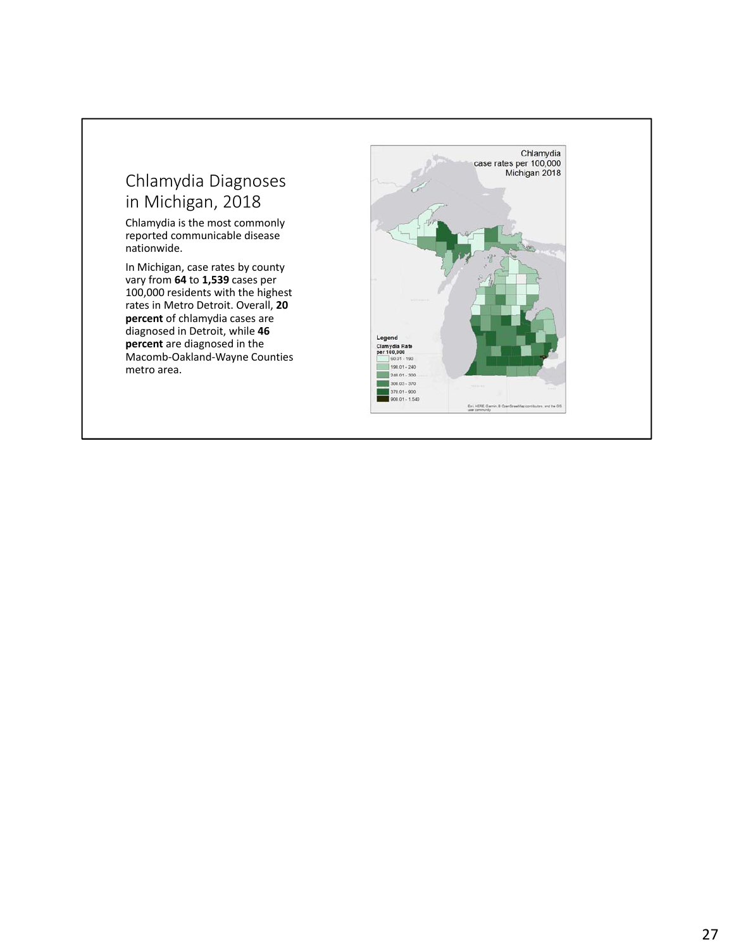#### Chlamydia Diagnoses in Michigan, 2018

Chlamydia is the most commonly reported communicable disease nationwide.

In Michigan, case rates by county vary from **64** to **1,539** cases per 100,000 residents with the highest rates in Metro Detroit. Overall, **20 percent** of chlamydia cases are diagnosed in Detroit, while **46 percent** are diagnosed in the Macomb‐Oakland‐Wayne Counties metro area.

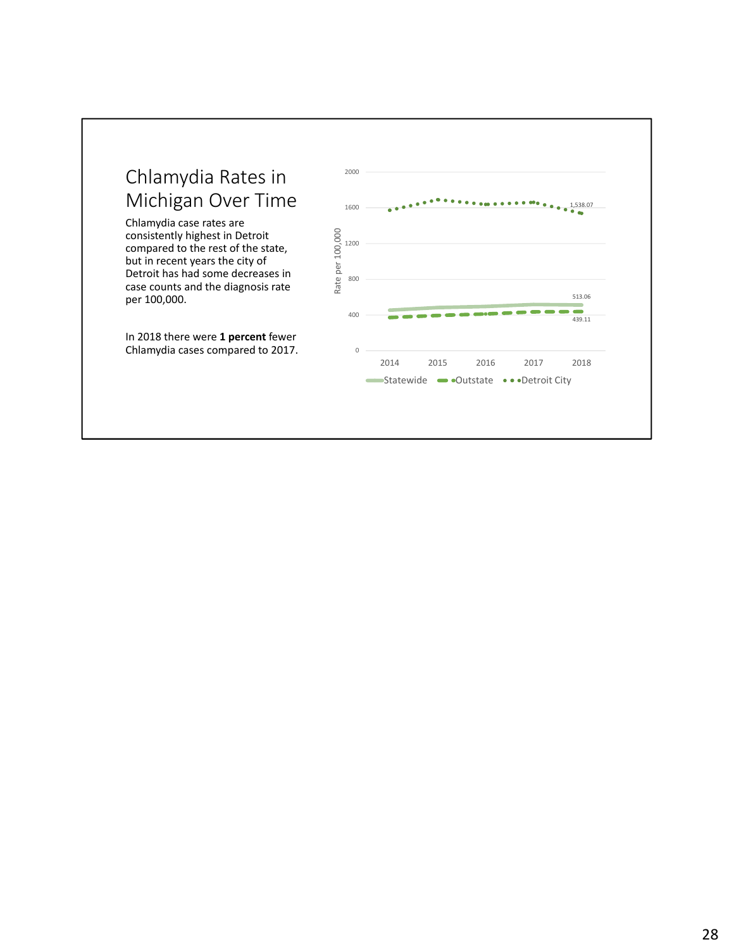

Chlamydia case rates are consistently highest in Detroit compared to the rest of the state, but in recent years the city of Detroit has had some decreases in case counts and the diagnosis rate per 100,000.

In 2018 there were **1 percent** fewer Chlamydia cases compared to 2017.

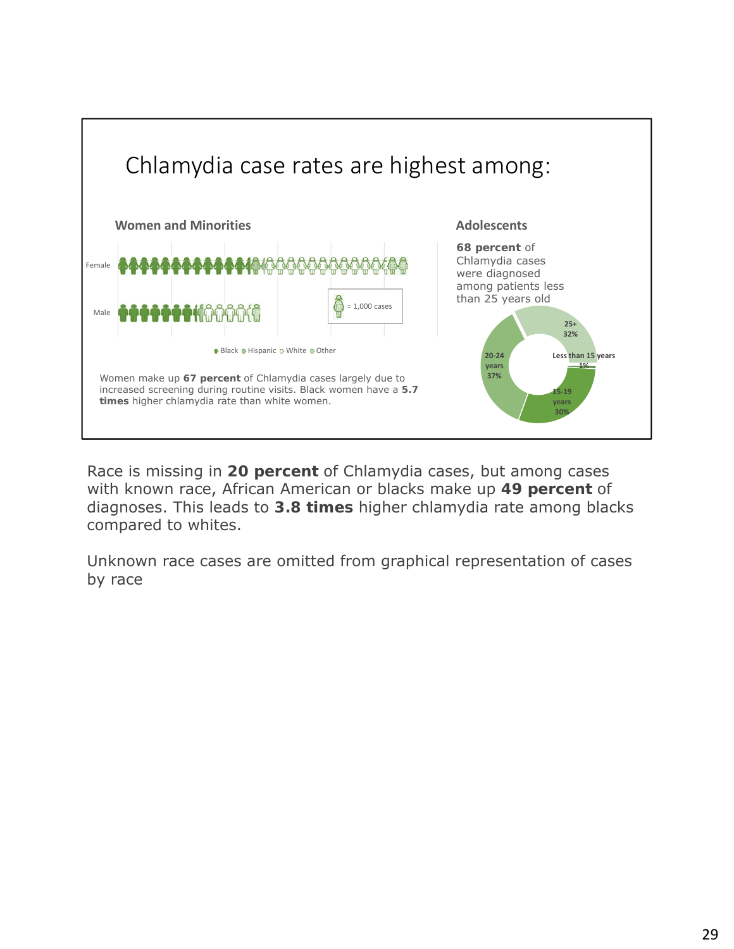

Race is missing in **20 percent** of Chlamydia cases, but among cases with known race, African American or blacks make up **49 percent** of diagnoses. This leads to **3.8 times** higher chlamydia rate among blacks compared to whites.

Unknown race cases are omitted from graphical representation of cases by race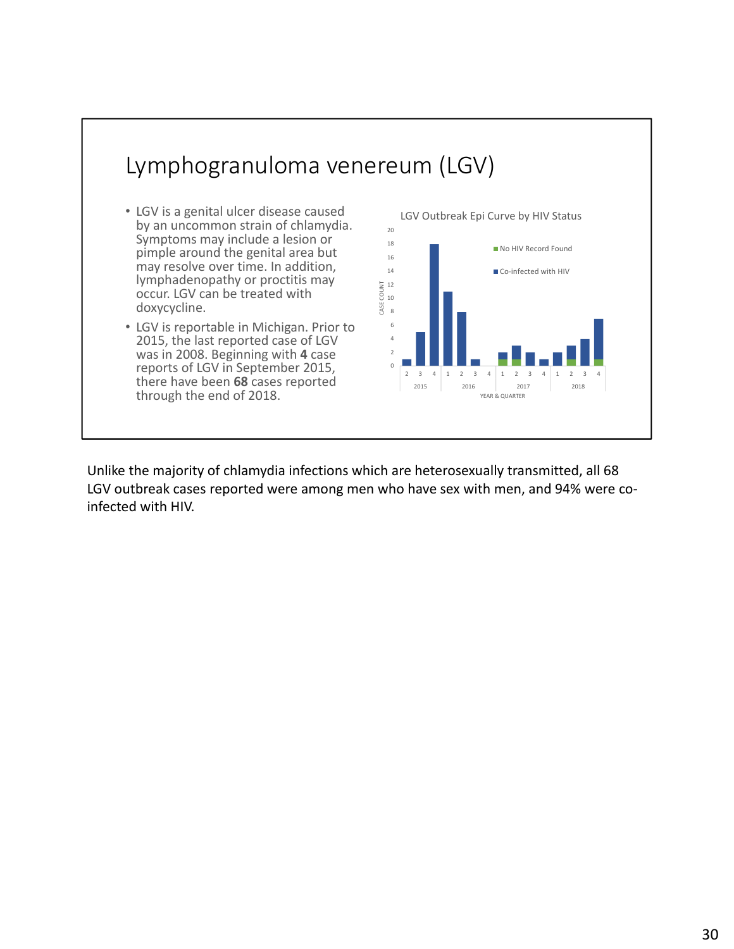

Unlike the majority of chlamydia infections which are heterosexually transmitted, all 68 LGV outbreak cases reported were among men who have sex with men, and 94% were coinfected with HIV.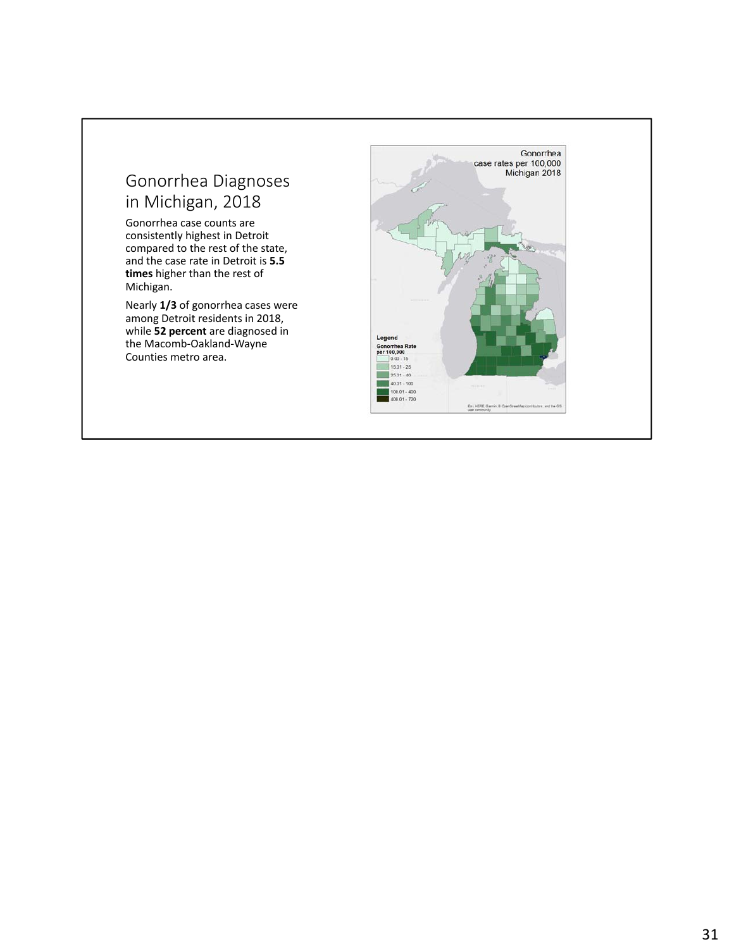#### Gonorrhea Diagnoses in Michigan, 2018

Gonorrhea case counts are consistently highest in Detroit compared to the rest of the state, and the case rate in Detroit is **5.5 times** higher than the rest of Michigan.

Nearly **1/3** of gonorrhea cases were among Detroit residents in 2018, while **52 percent** are diagnosed in the Macomb‐Oakland‐Wayne Counties metro area.

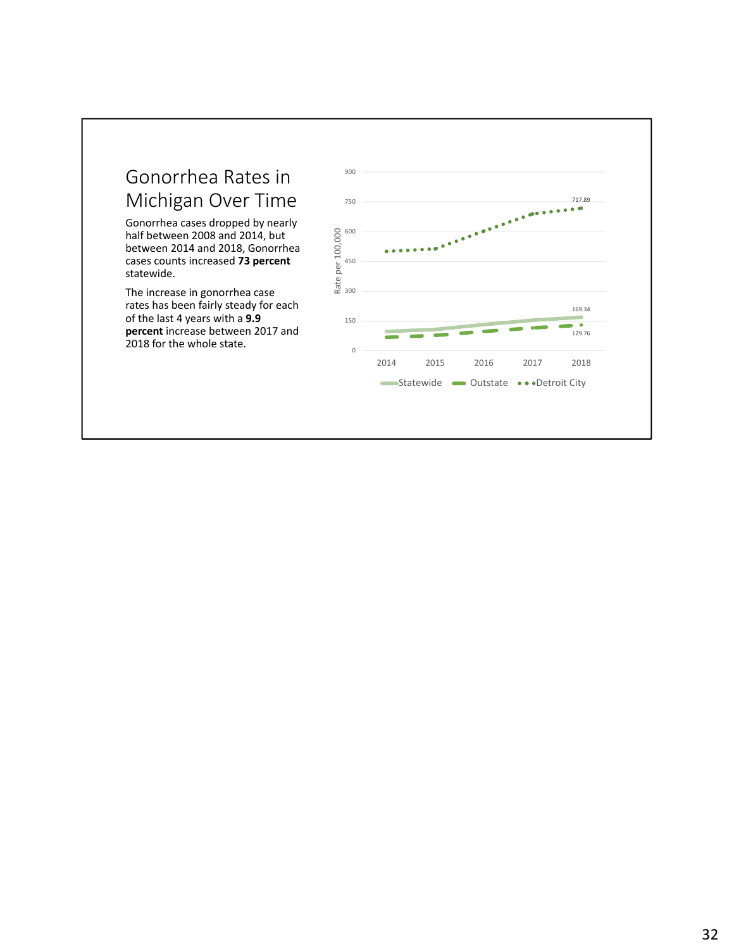#### Gonorrhea Rates in Michigan Over Time

Gonorrhea cases dropped by nearly half between 2008 and 2014, but between 2014 and 2018, Gonorrhea cases counts increased **73 percent**  statewide.

The increase in gonorrhea case rates has been fairly steady for each of the last 4 years with a **9.9 percent** increase between 2017 and 2018 for the whole state.

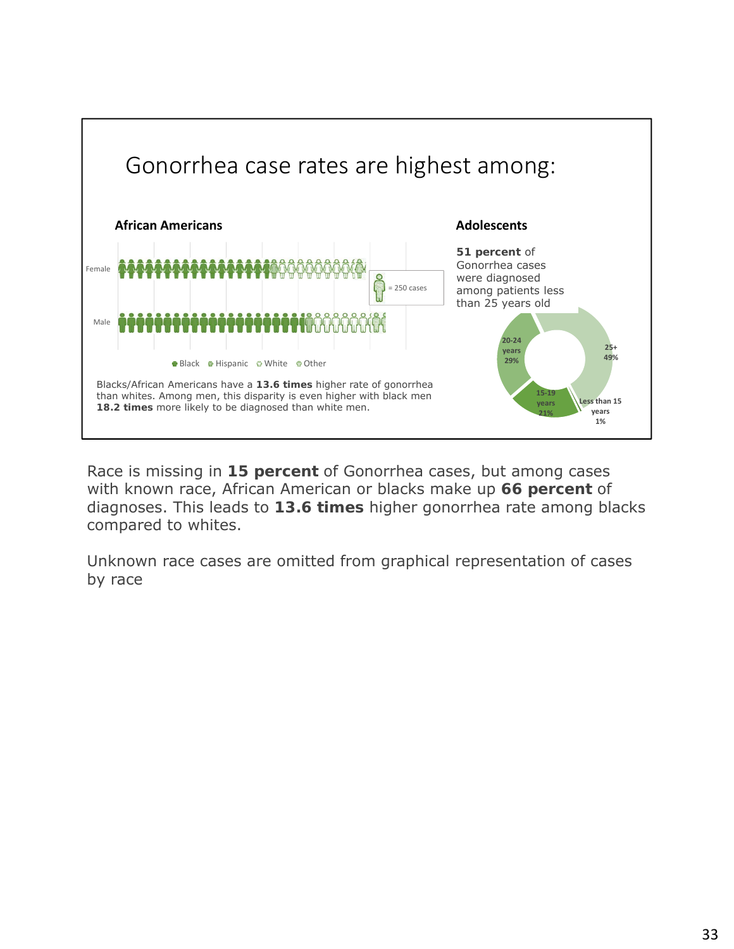

Race is missing in **15 percent** of Gonorrhea cases, but among cases with known race, African American or blacks make up **66 percent** of diagnoses. This leads to **13.6 times** higher gonorrhea rate among blacks compared to whites.

Unknown race cases are omitted from graphical representation of cases by race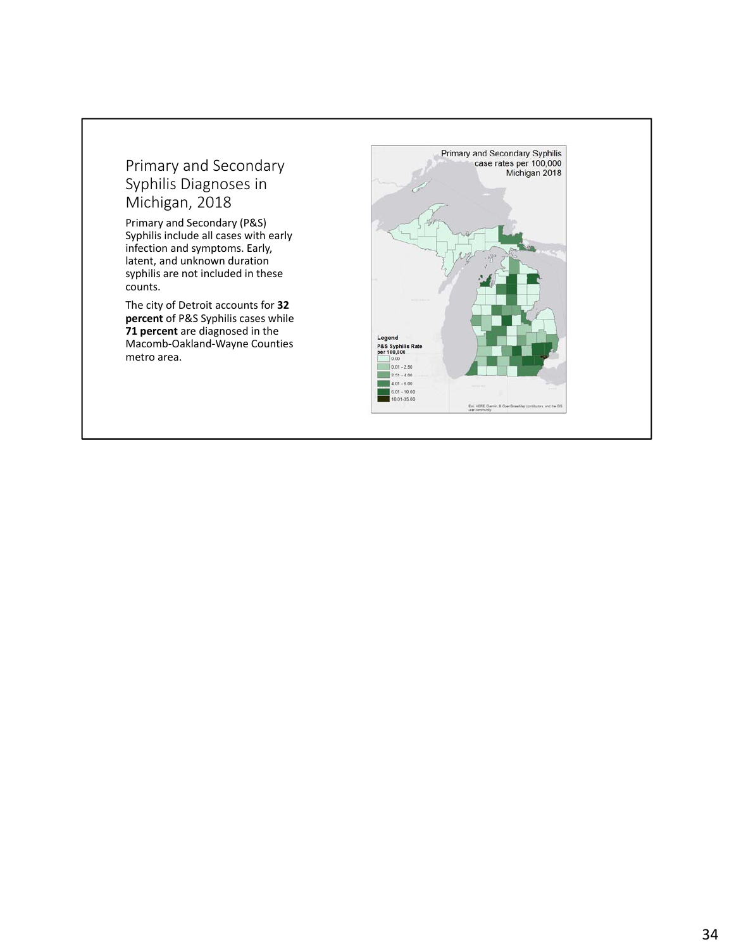#### Primary and Secondary Syphilis Diagnoses in Michigan, 2018

Primary and Secondary (P&S) Syphilis include all cases with early infection and symptoms. Early, latent, and unknown duration syphilis are not included in these counts.

The city of Detroit accounts for **32 percent** of P&S Syphilis cases while **71 percent** are diagnosed in the Macomb‐Oakland‐Wayne Counties metro area.

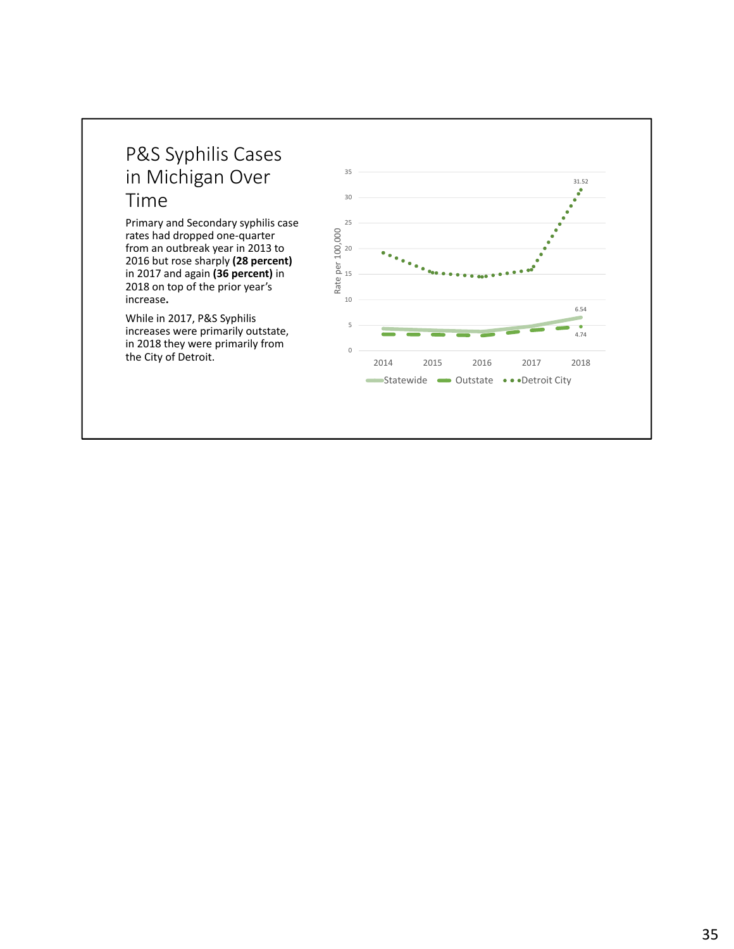#### P&S Syphilis Cases in Michigan Over Time

Primary and Secondary syphilis case rates had dropped one‐quarter from an outbreak year in 2013 to 2016 but rose sharply **(28 percent)** in 2017 and again **(36 percent)** in 2018 on top of the prior year's increase**.**

While in 2017, P&S Syphilis increases were primarily outstate, in 2018 they were primarily from the City of Detroit.

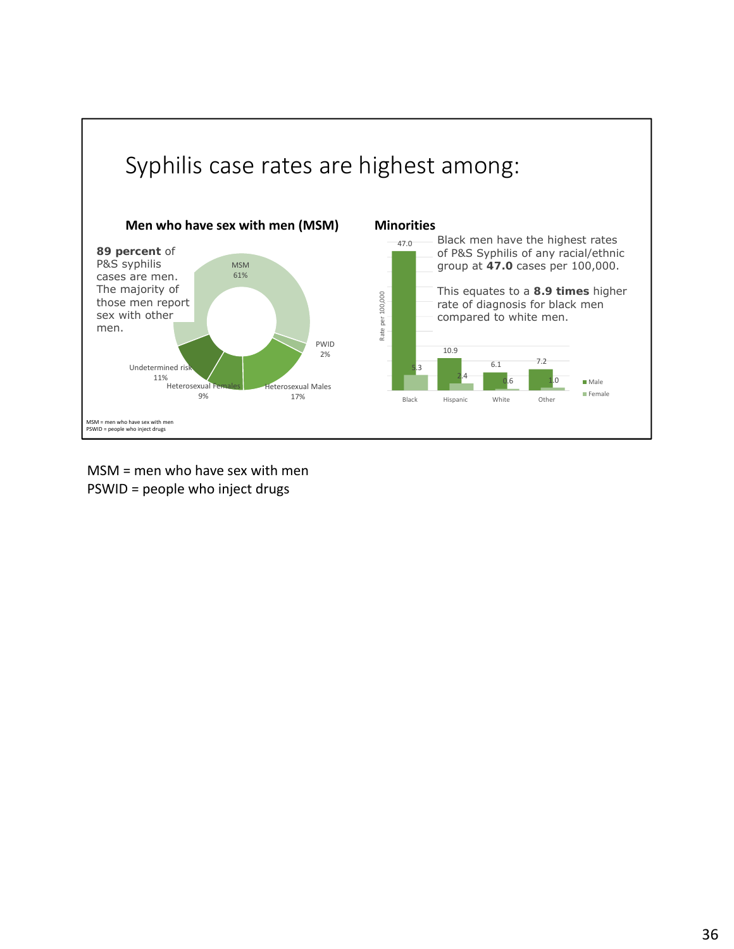

MSM = men who have sex with men PSWID = people who inject drugs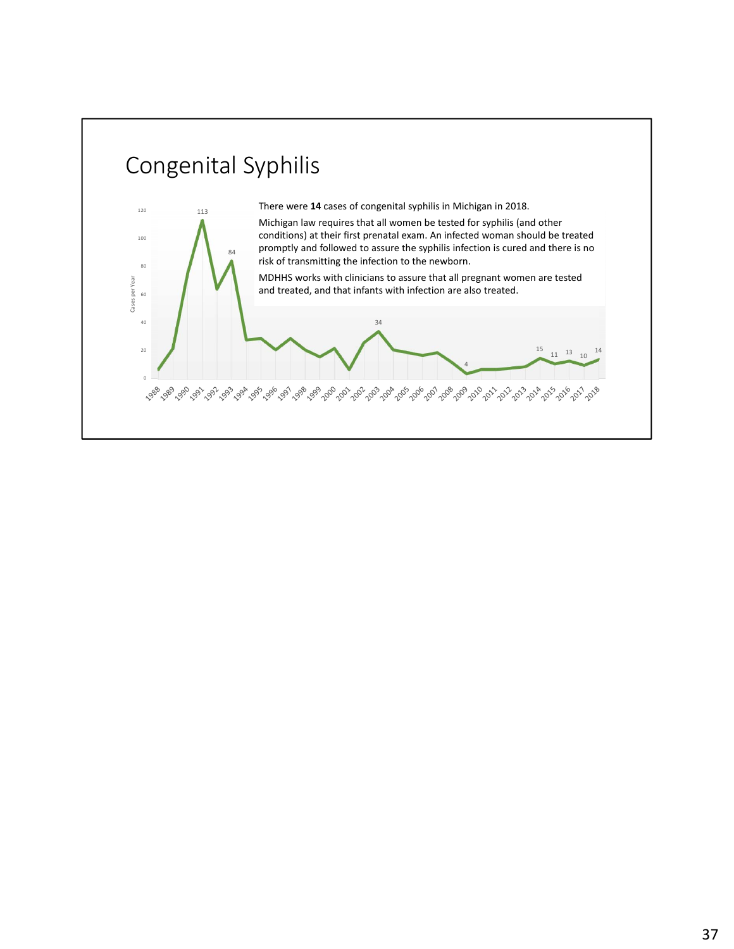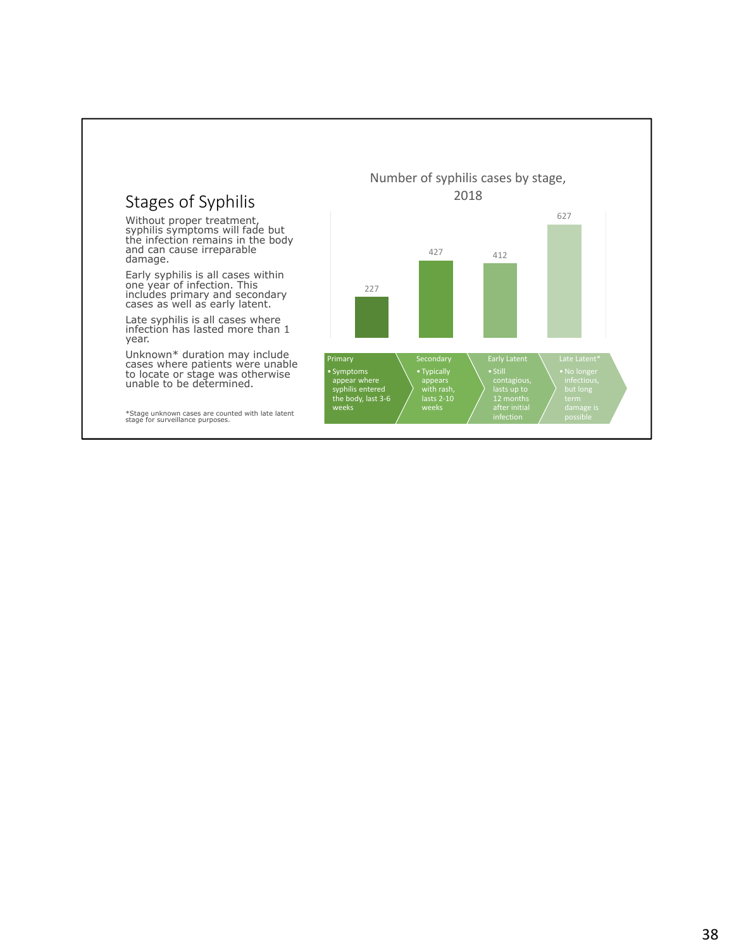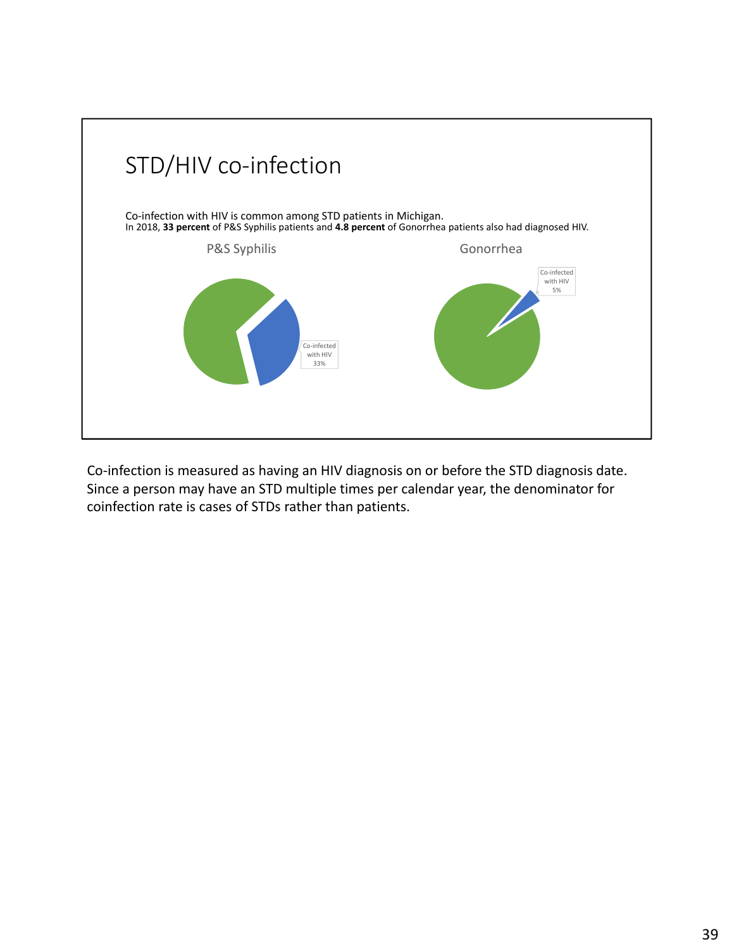

Co-infection is measured as having an HIV diagnosis on or before the STD diagnosis date. Since a person may have an STD multiple times per calendar year, the denominator for coinfection rate is cases of STDs rather than patients.